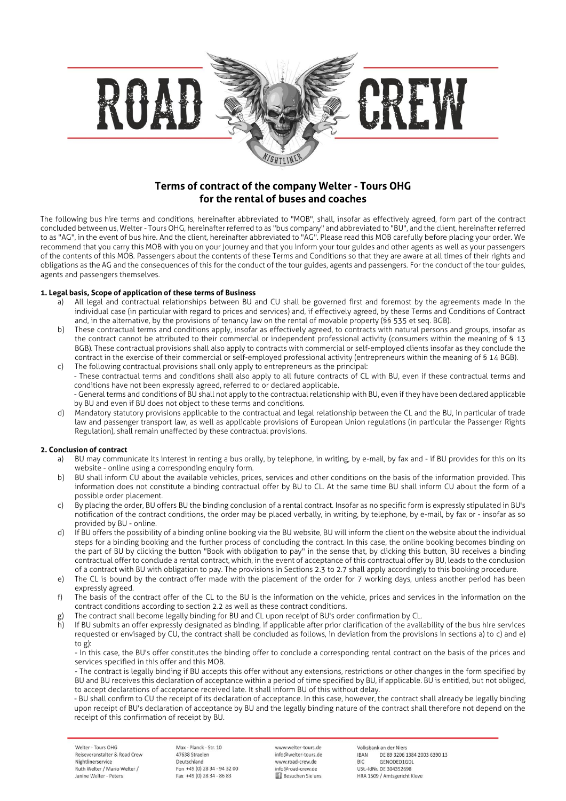

# **Terms of contract of the company Welter - Tours OHG for the rental of buses and coaches**

The following bus hire terms and conditions, hereinafter abbreviated to "MOB", shall, insofar as effectively agreed, form part of the contract concluded between us, Welter - Tours OHG, hereinafter referred to as "bus company" and abbreviated to "BU", and the client, hereinafter referred to as "AG", in the event of bus hire. And the client, hereinafter abbreviated to "AG". Please read this MOB carefully before placing your order. We recommend that you carry this MOB with you on your journey and that you inform your tour guides and other agents as well as your passengers of the contents of this MOB. Passengers about the contents of these Terms and Conditions so that they are aware at all times of their rights and obligations as the AG and the consequences of this for the conduct of the tour guides, agents and passengers. For the conduct of the tour guides, agents and passengers themselves.

# **1. Legal basis, Scope of application of these terms of Business**

- a) All legal and contractual relationships between BU and CU shall be governed first and foremost by the agreements made in the individual case (in particular with regard to prices and services) and, if effectively agreed, by these Terms and Conditions of Contract and, in the alternative, by the provisions of tenancy law on the rental of movable property (§§ 535 et seq. BGB).
- b) These contractual terms and conditions apply, insofar as effectively agreed, to contracts with natural persons and groups, insofar as the contract cannot be attributed to their commercial or independent professional activity (consumers within the meaning of § 13 BGB). These contractual provisions shall also apply to contracts with commercial or self-employed clients insofar as they conclude the contract in the exercise of their commercial or self-employed professional activity (entrepreneurs within the meaning of § 14 BGB).
- c) The following contractual provisions shall only apply to entrepreneurs as the principal: - These contractual terms and conditions shall also apply to all future contracts of CL with BU, even if these contractual terms and conditions have not been expressly agreed, referred to or declared applicable. - General terms and conditions of BU shall not apply to the contractual relationship with BU, even if they have been declared applicable by BU and even if BU does not object to these terms and conditions.
- d) Mandatory statutory provisions applicable to the contractual and legal relationship between the CL and the BU, in particular of trade law and passenger transport law, as well as applicable provisions of European Union regulations (in particular the Passenger Rights Regulation), shall remain unaffected by these contractual provisions.

# **2. Conclusion of contract**

- a) BU may communicate its interest in renting a bus orally, by telephone, in writing, by e-mail, by fax and if BU provides for this on its website - online using a corresponding enquiry form.
- b) BU shall inform CU about the available vehicles, prices, services and other conditions on the basis of the information provided. This information does not constitute a binding contractual offer by BU to CL. At the same time BU shall inform CU about the form of a possible order placement.
- c) By placing the order, BU offers BU the binding conclusion of a rental contract. Insofar as no specific form is expressly stipulated in BU's notification of the contract conditions, the order may be placed verbally, in writing, by telephone, by e-mail, by fax or - insofar as so provided by BU - online.
- d) If BU offers the possibility of a binding online booking via the BU website, BU will inform the client on the website about the individual steps for a binding booking and the further process of concluding the contract. In this case, the online booking becomes binding on the part of BU by clicking the button "Book with obligation to pay" in the sense that, by clicking this button, BU receives a binding contractual offer to conclude a rental contract, which, in the event of acceptance of this contractual offer by BU, leads to the conclusion of a contract with BU with obligation to pay. The provisions in Sections 2.3 to 2.7 shall apply accordingly to this booking procedure.
- e) The CL is bound by the contract offer made with the placement of the order for 7 working days, unless another period has been expressly agreed.
- f) The basis of the contract offer of the CL to the BU is the information on the vehicle, prices and services in the information on the contract conditions according to section 2.2 as well as these contract conditions.
- The contract shall become legally binding for BU and CL upon receipt of BU's order confirmation by CL.
- h) If BU submits an offer expressly designated as binding, if applicable after prior clarification of the availability of the bus hire services requested or envisaged by CU, the contract shall be concluded as follows, in deviation from the provisions in sections a) to c) and e) to g):

- In this case, the BU's offer constitutes the binding offer to conclude a corresponding rental contract on the basis of the prices and services specified in this offer and this MOB.

- The contract is legally binding if BU accepts this offer without any extensions, restrictions or other changes in the form specified by BU and BU receives this declaration of acceptance within a period of time specified by BU, if applicable. BU is entitled, but not obliged, to accept declarations of acceptance received late. It shall inform BU of this without delay.

- BU shall confirm to CU the receipt of its declaration of acceptance. In this case, however, the contract shall already be legally binding upon receipt of BU's declaration of acceptance by BU and the legally binding nature of the contract shall therefore not depend on the receipt of this confirmation of receipt by BU.

Welter - Tours OHG Reiseveranstalter & Road Crew Nightlinerservice Ruth Welter / Mario Welter / Janine Welter - Peters

Max - Planck - Str. 10 47638 Straelen Deutschland Fon +49 (0) 28 34 - 94 32 00 Fax +49 (0) 28 34 - 86 83

www.welter-tours.de info@welter-tours.de www.road-crew.de info@road-crew.de Besuchen Sie uns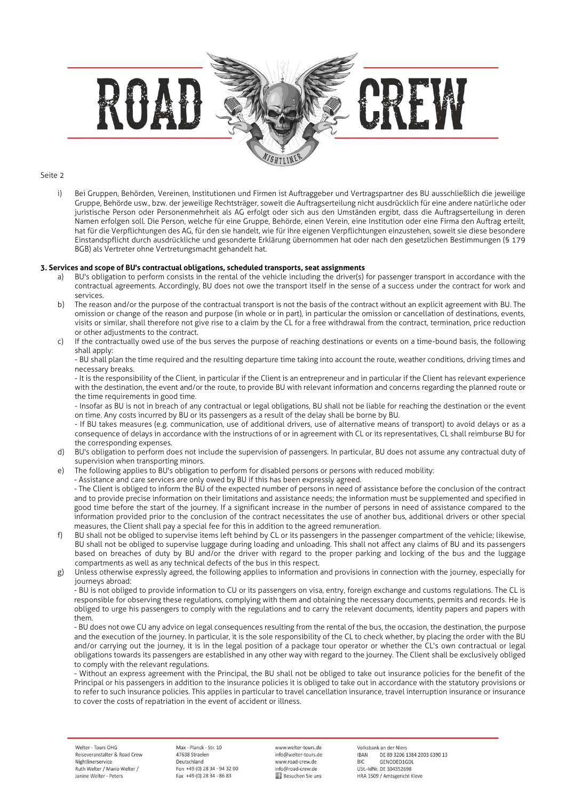

i) Bei Gruppen, Behörden, Vereinen, Institutionen und Firmen ist Auftraggeber und Vertragspartner des BU ausschließlich die jeweilige Gruppe, Behörde usw., bzw. der jeweilige Rechtsträger, soweit die Auftragserteilung nicht ausdrücklich für eine andere natürliche oder juristische Person oder Personenmehrheit als AG erfolgt oder sich aus den Umständen ergibt, dass die Auftragserteilung in deren Namen erfolgen soll. Die Person, welche für eine Gruppe, Behörde, einen Verein, eine Institution oder eine Firma den Auftrag erteilt, hat für die Verpflichtungen des AG, für den sie handelt, wie für ihre eigenen Verpflichtungen einzustehen, soweit sie diese besondere Einstandspflicht durch ausdrückliche und gesonderte Erklärung übernommen hat oder nach den gesetzlichen Bestimmungen (§ 179 BGB) als Vertreter ohne Vertretungsmacht gehandelt hat.

# **3. Services and scope of BU's contractual obligations, scheduled transports, seat assignments**

- a) BU's obligation to perform consists in the rental of the vehicle including the driver(s) for passenger transport in accordance with the contractual agreements. Accordingly, BU does not owe the transport itself in the sense of a success under the contract for work and services.
- b) The reason and/or the purpose of the contractual transport is not the basis of the contract without an explicit agreement with BU. The omission or change of the reason and purpose (in whole or in part), in particular the omission or cancellation of destinations, events, visits or similar, shall therefore not give rise to a claim by the CL for a free withdrawal from the contract, termination, price reduction or other adjustments to the contract.
- c) If the contractually owed use of the bus serves the purpose of reaching destinations or events on a time-bound basis, the following shall apply:

- BU shall plan the time required and the resulting departure time taking into account the route, weather conditions, driving times and necessary breaks.

- It is the responsibility of the Client, in particular if the Client is an entrepreneur and in particular if the Client has relevant experience with the destination, the event and/or the route, to provide BU with relevant information and concerns regarding the planned route or the time requirements in good time.

- Insofar as BU is not in breach of any contractual or legal obligations, BU shall not be liable for reaching the destination or the event on time. Any costs incurred by BU or its passengers as a result of the delay shall be borne by BU.

- If BU takes measures (e.g. communication, use of additional drivers, use of alternative means of transport) to avoid delays or as a consequence of delays in accordance with the instructions of or in agreement with CL or its representatives, CL shall reimburse BU for the corresponding expenses.

- d) BU's obligation to perform does not include the supervision of passengers. In particular, BU does not assume any contractual duty of supervision when transporting minors.
- e) The following applies to BU's obligation to perform for disabled persons or persons with reduced mobility:
	- Assistance and care services are only owed by BU if this has been expressly agreed.

- The Client is obliged to inform the BU of the expected number of persons in need of assistance before the conclusion of the contract and to provide precise information on their limitations and assistance needs; the information must be supplemented and specified in good time before the start of the journey. If a significant increase in the number of persons in need of assistance compared to the information provided prior to the conclusion of the contract necessitates the use of another bus, additional drivers or other special measures, the Client shall pay a special fee for this in addition to the agreed remuneration.

- f) BU shall not be obliged to supervise items left behind by CL or its passengers in the passenger compartment of the vehicle; likewise, BU shall not be obliged to supervise luggage during loading and unloading. This shall not affect any claims of BU and its passengers based on breaches of duty by BU and/or the driver with regard to the proper parking and locking of the bus and the luggage compartments as well as any technical defects of the bus in this respect.
- g) Unless otherwise expressly agreed, the following applies to information and provisions in connection with the journey, especially for journeys abroad:

- BU is not obliged to provide information to CU or its passengers on visa, entry, foreign exchange and customs regulations. The CL is responsible for observing these regulations, complying with them and obtaining the necessary documents, permits and records. He is obliged to urge his passengers to comply with the regulations and to carry the relevant documents, identity papers and papers with them.

- BU does not owe CU any advice on legal consequences resulting from the rental of the bus, the occasion, the destination, the purpose and the execution of the journey. In particular, it is the sole responsibility of the CL to check whether, by placing the order with the BU and/or carrying out the journey, it is in the legal position of a package tour operator or whether the CL's own contractual or legal obligations towards its passengers are established in any other way with regard to the journey. The Client shall be exclusively obliged to comply with the relevant regulations.

- Without an express agreement with the Principal, the BU shall not be obliged to take out insurance policies for the benefit of the Principal or his passengers in addition to the insurance policies it is obliged to take out in accordance with the statutory provisions or to refer to such insurance policies. This applies in particular to travel cancellation insurance, travel interruption insurance or insurance to cover the costs of repatriation in the event of accident or illness.

Welter - Tours OHG Reiseveranstalter & Road Crew Nightlinerservice Ruth Welter / Mario Welter / Janine Welter - Peters

Max - Planck - Str. 10 47638 Straelen Deutschland Fon +49 (0) 28 34 - 94 32 00 Fax +49 (0) 28 34 - 86 83

www.welter-tours.de info@welter-tours.de www.road-crew.de info@road-crew.de Besuchen Sie uns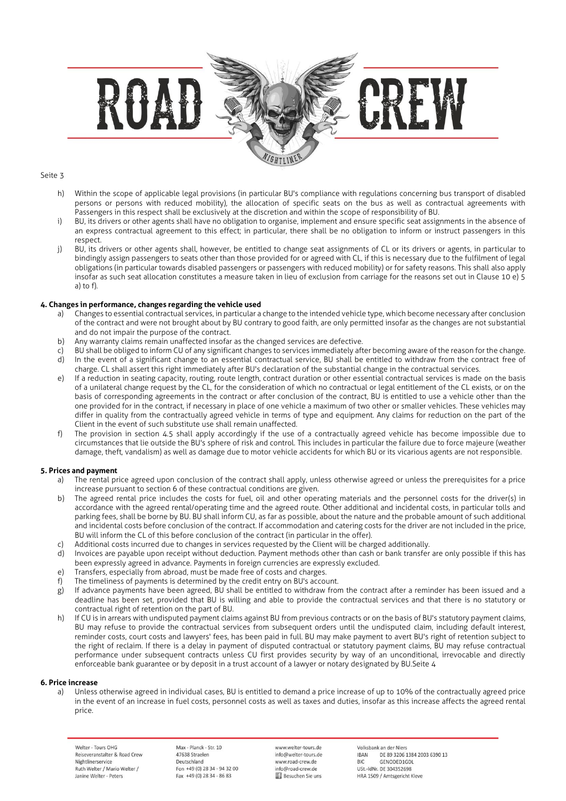

- h) Within the scope of applicable legal provisions (in particular BU's compliance with regulations concerning bus transport of disabled persons or persons with reduced mobility), the allocation of specific seats on the bus as well as contractual agreements with Passengers in this respect shall be exclusively at the discretion and within the scope of responsibility of BU.
- i) BU, its drivers or other agents shall have no obligation to organise, implement and ensure specific seat assignments in the absence of an express contractual agreement to this effect; in particular, there shall be no obligation to inform or instruct passengers in this respect.
- j) BU, its drivers or other agents shall, however, be entitled to change seat assignments of CL or its drivers or agents, in particular to bindingly assign passengers to seats other than those provided for or agreed with CL, if this is necessary due to the fulfilment of legal obligations (in particular towards disabled passengers or passengers with reduced mobility) or for safety reasons. This shall also apply insofar as such seat allocation constitutes a measure taken in lieu of exclusion from carriage for the reasons set out in Clause 10 e) 5 a) to f).

# **4. Changes in performance, changes regarding the vehicle used**

- a) Changes to essential contractual services, in particular a change to the intended vehicle type, which become necessary after conclusion of the contract and were not brought about by BU contrary to good faith, are only permitted insofar as the changes are not substantial and do not impair the purpose of the contract.
- b) Any warranty claims remain unaffected insofar as the changed services are defective.
- c) BU shall be obliged to inform CU of any significant changes to services immediately after becoming aware of the reason for the change.
- d) In the event of a significant change to an essential contractual service, BU shall be entitled to withdraw from the contract free of charge. CL shall assert this right immediately after BU's declaration of the substantial change in the contractual services.
- e) If a reduction in seating capacity, routing, route length, contract duration or other essential contractual services is made on the basis of a unilateral change request by the CL, for the consideration of which no contractual or legal entitlement of the CL exists, or on the basis of corresponding agreements in the contract or after conclusion of the contract, BU is entitled to use a vehicle other than the one provided for in the contract, if necessary in place of one vehicle a maximum of two other or smaller vehicles. These vehicles may differ in quality from the contractually agreed vehicle in terms of type and equipment. Any claims for reduction on the part of the Client in the event of such substitute use shall remain unaffected.
- f) The provision in section 4.5 shall apply accordingly if the use of a contractually agreed vehicle has become impossible due to circumstances that lie outside the BU's sphere of risk and control. This includes in particular the failure due to force majeure (weather damage, theft, vandalism) as well as damage due to motor vehicle accidents for which BU or its vicarious agents are not responsible.

# **5. Prices and payment**

- a) The rental price agreed upon conclusion of the contract shall apply, unless otherwise agreed or unless the prerequisites for a price increase pursuant to section 6 of these contractual conditions are given.
- b) The agreed rental price includes the costs for fuel, oil and other operating materials and the personnel costs for the driver(s) in accordance with the agreed rental/operating time and the agreed route. Other additional and incidental costs, in particular tolls and parking fees, shall be borne by BU. BU shall inform CU, as far as possible, about the nature and the probable amount of such additional and incidental costs before conclusion of the contract. If accommodation and catering costs for the driver are not included in the price, BU will inform the CL of this before conclusion of the contract (in particular in the offer).
- c) Additional costs incurred due to changes in services requested by the Client will be charged additionally.
- d) Invoices are payable upon receipt without deduction. Payment methods other than cash or bank transfer are only possible if this has been expressly agreed in advance. Payments in foreign currencies are expressly excluded.
- e) Transfers, especially from abroad, must be made free of costs and charges.
- f) The timeliness of payments is determined by the credit entry on BU's account.
- g) If advance payments have been agreed, BU shall be entitled to withdraw from the contract after a reminder has been issued and a deadline has been set, provided that BU is willing and able to provide the contractual services and that there is no statutory or contractual right of retention on the part of BU.
- h) If CU is in arrears with undisputed payment claims against BU from previous contracts or on the basis of BU's statutory payment claims, BU may refuse to provide the contractual services from subsequent orders until the undisputed claim, including default interest, reminder costs, court costs and lawyers' fees, has been paid in full. BU may make payment to avert BU's right of retention subject to the right of reclaim. If there is a delay in payment of disputed contractual or statutory payment claims, BU may refuse contractual performance under subsequent contracts unless CU first provides security by way of an unconditional, irrevocable and directly enforceable bank guarantee or by deposit in a trust account of a lawyer or notary designated by BU.Seite 4

#### **6. Price increase**

a) Unless otherwise agreed in individual cases, BU is entitled to demand a price increase of up to 10% of the contractually agreed price in the event of an increase in fuel costs, personnel costs as well as taxes and duties, insofar as this increase affects the agreed rental price.

Welter - Tours OHG Reiseveranstalter & Road Crew Nightlinerservice Ruth Welter / Mario Welter / Janine Welter - Peters

Max - Planck - Str. 10 47638 Straelen Deutschland Fon +49 (0) 28 34 - 94 32 00 Fax +49 (0) 28 34 - 86 83

www.welter-tours.de info@welter-tours.de www.road-crew.de info@road-crew.de Besuchen Sie uns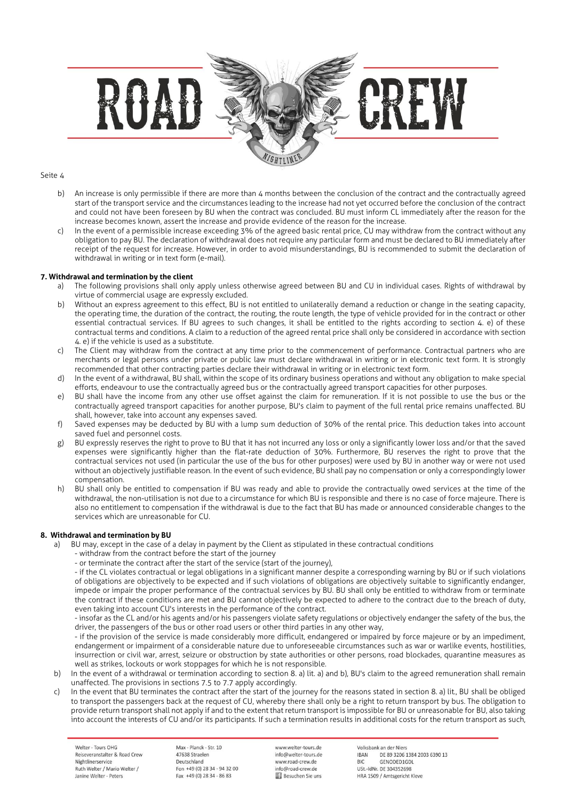

- b) An increase is only permissible if there are more than 4 months between the conclusion of the contract and the contractually agreed start of the transport service and the circumstances leading to the increase had not yet occurred before the conclusion of the contract and could not have been foreseen by BU when the contract was concluded. BU must inform CL immediately after the reason for the increase becomes known, assert the increase and provide evidence of the reason for the increase.
- c) In the event of a permissible increase exceeding 3% of the agreed basic rental price, CU may withdraw from the contract without any obligation to pay BU. The declaration of withdrawal does not require any particular form and must be declared to BU immediately after receipt of the request for increase. However, in order to avoid misunderstandings, BU is recommended to submit the declaration of withdrawal in writing or in text form (e-mail).

# **7. Withdrawal and termination by the client**

- The following provisions shall only apply unless otherwise agreed between BU and CU in individual cases. Rights of withdrawal by virtue of commercial usage are expressly excluded.
- b) Without an express agreement to this effect, BU is not entitled to unilaterally demand a reduction or change in the seating capacity, the operating time, the duration of the contract, the routing, the route length, the type of vehicle provided for in the contract or other essential contractual services. If BU agrees to such changes, it shall be entitled to the rights according to section 4. e) of these contractual terms and conditions. A claim to a reduction of the agreed rental price shall only be considered in accordance with section 4. e) if the vehicle is used as a substitute.
- c) The Client may withdraw from the contract at any time prior to the commencement of performance. Contractual partners who are merchants or legal persons under private or public law must declare withdrawal in writing or in electronic text form. It is strongly recommended that other contracting parties declare their withdrawal in writing or in electronic text form.
- d) In the event of a withdrawal, BU shall, within the scope of its ordinary business operations and without any obligation to make special efforts, endeavour to use the contractually agreed bus or the contractually agreed transport capacities for other purposes.
- e) BU shall have the income from any other use offset against the claim for remuneration. If it is not possible to use the bus or the contractually agreed transport capacities for another purpose, BU's claim to payment of the full rental price remains unaffected. BU shall, however, take into account any expenses saved.
- f) Saved expenses may be deducted by BU with a lump sum deduction of 30% of the rental price. This deduction takes into account saved fuel and personnel costs.
- g) BU expressly reserves the right to prove to BU that it has not incurred any loss or only a significantly lower loss and/or that the saved expenses were significantly higher than the flat-rate deduction of 30%. Furthermore, BU reserves the right to prove that the contractual services not used (in particular the use of the bus for other purposes) were used by BU in another way or were not used without an objectively justifiable reason. In the event of such evidence, BU shall pay no compensation or only a correspondingly lower compensation.
- h) BU shall only be entitled to compensation if BU was ready and able to provide the contractually owed services at the time of the withdrawal, the non-utilisation is not due to a circumstance for which BU is responsible and there is no case of force majeure. There is also no entitlement to compensation if the withdrawal is due to the fact that BU has made or announced considerable changes to the services which are unreasonable for CU.

# **8. Withdrawal and termination by BU**

- a) BU may, except in the case of a delay in payment by the Client as stipulated in these contractual conditions
	- withdraw from the contract before the start of the journey
	- or terminate the contract after the start of the service (start of the journey),

- if the CL violates contractual or legal obligations in a significant manner despite a corresponding warning by BU or if such violations of obligations are objectively to be expected and if such violations of obligations are objectively suitable to significantly endanger, impede or impair the proper performance of the contractual services by BU. BU shall only be entitled to withdraw from or terminate the contract if these conditions are met and BU cannot objectively be expected to adhere to the contract due to the breach of duty, even taking into account CU's interests in the performance of the contract.

- insofar as the CL and/or his agents and/or his passengers violate safety regulations or objectively endanger the safety of the bus, the driver, the passengers of the bus or other road users or other third parties in any other way,

- if the provision of the service is made considerably more difficult, endangered or impaired by force majeure or by an impediment, endangerment or impairment of a considerable nature due to unforeseeable circumstances such as war or warlike events, hostilities, insurrection or civil war, arrest, seizure or obstruction by state authorities or other persons, road blockades, quarantine measures as well as strikes, lockouts or work stoppages for which he is not responsible.

- b) In the event of a withdrawal or termination according to section 8. a) lit. a) and b), BU's claim to the agreed remuneration shall remain unaffected. The provisions in sections 7.5 to 7.7 apply accordingly.
- c) In the event that BU terminates the contract after the start of the journey for the reasons stated in section 8. a) lit., BU shall be obliged to transport the passengers back at the request of CU, whereby there shall only be a right to return transport by bus. The obligation to provide return transport shall not apply if and to the extent that return transport is impossible for BU or unreasonable for BU, also taking into account the interests of CU and/or its participants. If such a termination results in additional costs for the return transport as such,

Welter - Tours OHG Reiseveranstalter & Road Crew Nightlinerservice Ruth Welter / Mario Welter / Janine Welter - Peters

Max - Planck - Str. 10 47638 Straelen Deutschland Fon +49 (0) 28 34 - 94 32 00 Fax +49 (0) 28 34 - 86 83

www.welter-tours.de info@welter-tours.de www.road-crew.de info@road-crew.de Besuchen Sie uns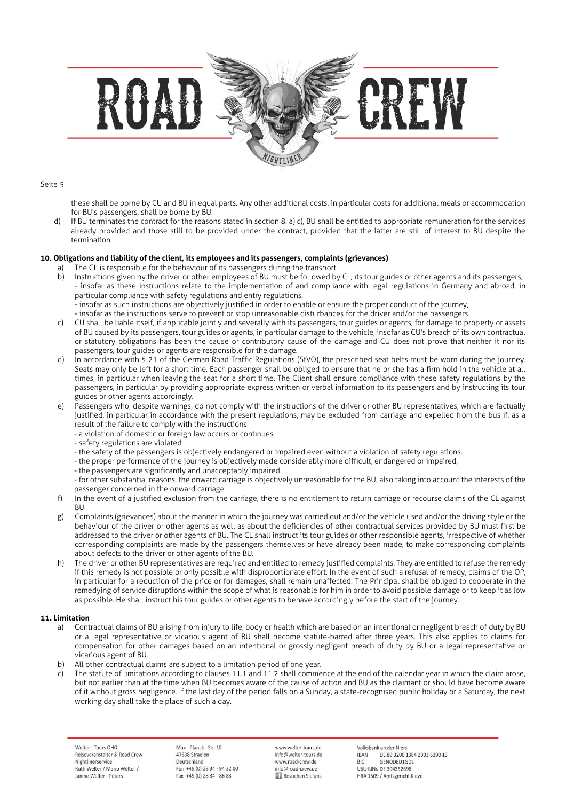

these shall be borne by CU and BU in equal parts. Any other additional costs, in particular costs for additional meals or accommodation for BU's passengers, shall be borne by BU.

If BU terminates the contract for the reasons stated in section 8. a) c), BU shall be entitled to appropriate remuneration for the services already provided and those still to be provided under the contract, provided that the latter are still of interest to BU despite the termination.

#### **10. Obligations and liability of the client, its employees and its passengers, complaints (grievances)**

- The CL is responsible for the behaviour of its passengers during the transport.
- b) Instructions given by the driver or other employees of BU must be followed by CL, its tour guides or other agents and its passengers, - insofar as these instructions relate to the implementation of and compliance with legal regulations in Germany and abroad, in particular compliance with safety regulations and entry regulations,
	- insofar as such instructions are objectively justified in order to enable or ensure the proper conduct of the journey,
- insofar as the instructions serve to prevent or stop unreasonable disturbances for the driver and/or the passengers. c) CU shall be liable itself, if applicable jointly and severally with its passengers, tour guides or agents, for damage to property or assets of BU caused by its passengers, tour guides or agents, in particular damage to the vehicle, insofar as CU's breach of its own contractual or statutory obligations has been the cause or contributory cause of the damage and CU does not prove that neither it nor its passengers, tour guides or agents are responsible for the damage.
- d) In accordance with § 21 of the German Road Traffic Regulations (StVO), the prescribed seat belts must be worn during the journey. Seats may only be left for a short time. Each passenger shall be obliged to ensure that he or she has a firm hold in the vehicle at all times, in particular when leaving the seat for a short time. The Client shall ensure compliance with these safety regulations by the passengers, in particular by providing appropriate express written or verbal information to its passengers and by instructing its tour guides or other agents accordingly.
- e) Passengers who, despite warnings, do not comply with the instructions of the driver or other BU representatives, which are factually justified, in particular in accordance with the present regulations, may be excluded from carriage and expelled from the bus if, as a result of the failure to comply with the instructions
	- a violation of domestic or foreign law occurs or continues,
	- safety regulations are violated
	- the safety of the passengers is objectively endangered or impaired even without a violation of safety regulations,
	- the proper performance of the journey is objectively made considerably more difficult, endangered or impaired,
	- the passengers are significantly and unacceptably impaired
	- for other substantial reasons, the onward carriage is objectively unreasonable for the BU, also taking into account the interests of the passenger concerned in the onward carriage.
- f) In the event of a justified exclusion from the carriage, there is no entitlement to return carriage or recourse claims of the CL against **BU.**
- g) Complaints (grievances) about the manner in which the journey was carried out and/or the vehicle used and/or the driving style or the behaviour of the driver or other agents as well as about the deficiencies of other contractual services provided by BU must first be addressed to the driver or other agents of BU. The CL shall instruct its tour guides or other responsible agents, irrespective of whether corresponding complaints are made by the passengers themselves or have already been made, to make corresponding complaints about defects to the driver or other agents of the BU.
- The driver or other BU representatives are required and entitled to remedy justified complaints. They are entitled to refuse the remedy if this remedy is not possible or only possible with disproportionate effort. In the event of such a refusal of remedy, claims of the OP, in particular for a reduction of the price or for damages, shall remain unaffected. The Principal shall be obliged to cooperate in the remedying of service disruptions within the scope of what is reasonable for him in order to avoid possible damage or to keep it as low as possible. He shall instruct his tour guides or other agents to behave accordingly before the start of the journey.

# **11. Limitation**

- a) Contractual claims of BU arising from injury to life, body or health which are based on an intentional or negligent breach of duty by BU or a legal representative or vicarious agent of BU shall become statute-barred after three years. This also applies to claims for compensation for other damages based on an intentional or grossly negligent breach of duty by BU or a legal representative or vicarious agent of BU.
- b) All other contractual claims are subject to a limitation period of one year.
- c) The statute of limitations according to clauses 11.1 and 11.2 shall commence at the end of the calendar year in which the claim arose, but not earlier than at the time when BU becomes aware of the cause of action and BU as the claimant or should have become aware of it without gross negligence. If the last day of the period falls on a Sunday, a state-recognised public holiday or a Saturday, the next working day shall take the place of such a day.

Welter - Tours OHG Reiseveranstalter & Road Crew Nightlinerservice Ruth Welter / Mario Welter / Janine Welter - Peters

Max - Planck - Str. 10 47638 Straelen Deutschland Fon +49 (0) 28 34 - 94 32 00 Fax +49 (0) 28 34 - 86 83

www.welter-tours.de info@welter-tours.de www.road-crew.de info@road-crew.de Besuchen Sie uns